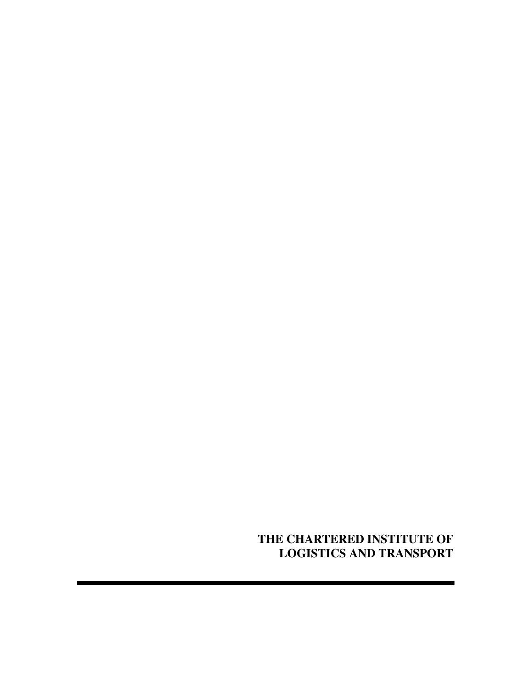**THE CHARTERED INSTITUTE OF LOGISTICS AND TRANSPORT**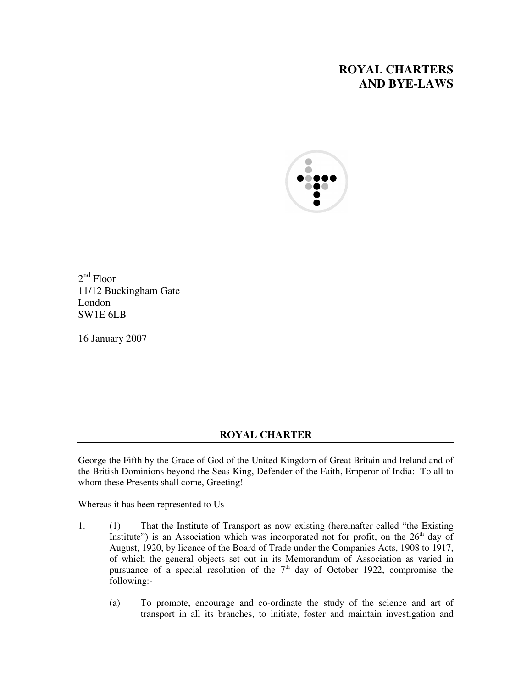# **ROYAL CHARTERS AND BYE-LAWS**



2<sup>nd</sup> Floor 11/12 Buckingham Gate London SW1E 6LB

16 January 2007

## **ROYAL CHARTER**

George the Fifth by the Grace of God of the United Kingdom of Great Britain and Ireland and of the British Dominions beyond the Seas King, Defender of the Faith, Emperor of India: To all to whom these Presents shall come, Greeting!

Whereas it has been represented to Us –

- 1. (1) That the Institute of Transport as now existing (hereinafter called "the Existing Institute") is an Association which was incorporated not for profit, on the  $26<sup>th</sup>$  day of August, 1920, by licence of the Board of Trade under the Companies Acts, 1908 to 1917, of which the general objects set out in its Memorandum of Association as varied in pursuance of a special resolution of the  $7<sup>th</sup>$  day of October 1922, compromise the following:-
	- (a) To promote, encourage and co-ordinate the study of the science and art of transport in all its branches, to initiate, foster and maintain investigation and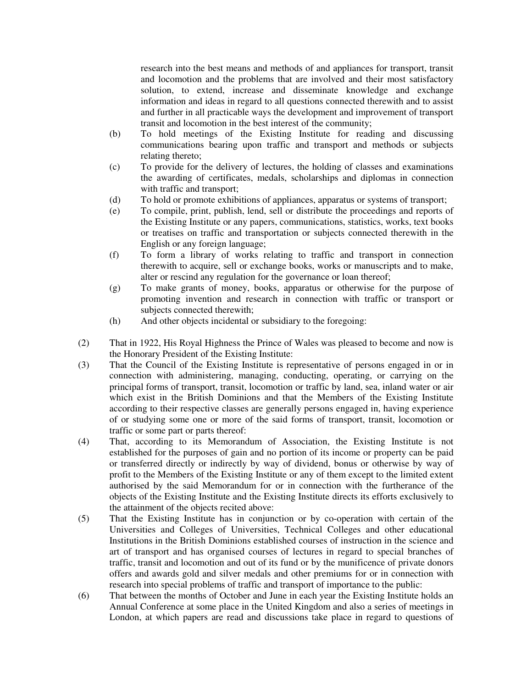research into the best means and methods of and appliances for transport, transit and locomotion and the problems that are involved and their most satisfactory solution, to extend, increase and disseminate knowledge and exchange information and ideas in regard to all questions connected therewith and to assist and further in all practicable ways the development and improvement of transport transit and locomotion in the best interest of the community;

- (b) To hold meetings of the Existing Institute for reading and discussing communications bearing upon traffic and transport and methods or subjects relating thereto;
- (c) To provide for the delivery of lectures, the holding of classes and examinations the awarding of certificates, medals, scholarships and diplomas in connection with traffic and transport;
- (d) To hold or promote exhibitions of appliances, apparatus or systems of transport;
- (e) To compile, print, publish, lend, sell or distribute the proceedings and reports of the Existing Institute or any papers, communications, statistics, works, text books or treatises on traffic and transportation or subjects connected therewith in the English or any foreign language;
- (f) To form a library of works relating to traffic and transport in connection therewith to acquire, sell or exchange books, works or manuscripts and to make, alter or rescind any regulation for the governance or loan thereof;
- (g) To make grants of money, books, apparatus or otherwise for the purpose of promoting invention and research in connection with traffic or transport or subjects connected therewith;
- (h) And other objects incidental or subsidiary to the foregoing:
- (2) That in 1922, His Royal Highness the Prince of Wales was pleased to become and now is the Honorary President of the Existing Institute:
- (3) That the Council of the Existing Institute is representative of persons engaged in or in connection with administering, managing, conducting, operating, or carrying on the principal forms of transport, transit, locomotion or traffic by land, sea, inland water or air which exist in the British Dominions and that the Members of the Existing Institute according to their respective classes are generally persons engaged in, having experience of or studying some one or more of the said forms of transport, transit, locomotion or traffic or some part or parts thereof:
- (4) That, according to its Memorandum of Association, the Existing Institute is not established for the purposes of gain and no portion of its income or property can be paid or transferred directly or indirectly by way of dividend, bonus or otherwise by way of profit to the Members of the Existing Institute or any of them except to the limited extent authorised by the said Memorandum for or in connection with the furtherance of the objects of the Existing Institute and the Existing Institute directs its efforts exclusively to the attainment of the objects recited above:
- (5) That the Existing Institute has in conjunction or by co-operation with certain of the Universities and Colleges of Universities, Technical Colleges and other educational Institutions in the British Dominions established courses of instruction in the science and art of transport and has organised courses of lectures in regard to special branches of traffic, transit and locomotion and out of its fund or by the munificence of private donors offers and awards gold and silver medals and other premiums for or in connection with research into special problems of traffic and transport of importance to the public:
- (6) That between the months of October and June in each year the Existing Institute holds an Annual Conference at some place in the United Kingdom and also a series of meetings in London, at which papers are read and discussions take place in regard to questions of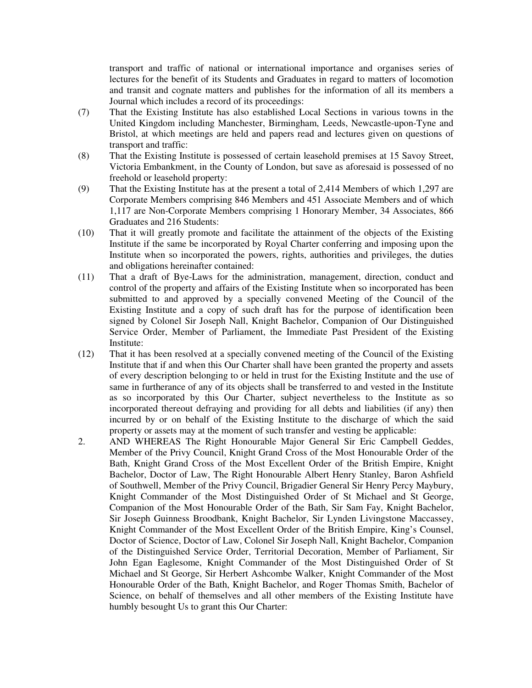transport and traffic of national or international importance and organises series of lectures for the benefit of its Students and Graduates in regard to matters of locomotion and transit and cognate matters and publishes for the information of all its members a Journal which includes a record of its proceedings:

- (7) That the Existing Institute has also established Local Sections in various towns in the United Kingdom including Manchester, Birmingham, Leeds, Newcastle-upon-Tyne and Bristol, at which meetings are held and papers read and lectures given on questions of transport and traffic:
- (8) That the Existing Institute is possessed of certain leasehold premises at 15 Savoy Street, Victoria Embankment, in the County of London, but save as aforesaid is possessed of no freehold or leasehold property:
- (9) That the Existing Institute has at the present a total of 2,414 Members of which 1,297 are Corporate Members comprising 846 Members and 451 Associate Members and of which 1,117 are Non-Corporate Members comprising 1 Honorary Member, 34 Associates, 866 Graduates and 216 Students:
- (10) That it will greatly promote and facilitate the attainment of the objects of the Existing Institute if the same be incorporated by Royal Charter conferring and imposing upon the Institute when so incorporated the powers, rights, authorities and privileges, the duties and obligations hereinafter contained:
- (11) That a draft of Bye-Laws for the administration, management, direction, conduct and control of the property and affairs of the Existing Institute when so incorporated has been submitted to and approved by a specially convened Meeting of the Council of the Existing Institute and a copy of such draft has for the purpose of identification been signed by Colonel Sir Joseph Nall, Knight Bachelor, Companion of Our Distinguished Service Order, Member of Parliament, the Immediate Past President of the Existing Institute:
- (12) That it has been resolved at a specially convened meeting of the Council of the Existing Institute that if and when this Our Charter shall have been granted the property and assets of every description belonging to or held in trust for the Existing Institute and the use of same in furtherance of any of its objects shall be transferred to and vested in the Institute as so incorporated by this Our Charter, subject nevertheless to the Institute as so incorporated thereout defraying and providing for all debts and liabilities (if any) then incurred by or on behalf of the Existing Institute to the discharge of which the said property or assets may at the moment of such transfer and vesting be applicable:
- 2. AND WHEREAS The Right Honourable Major General Sir Eric Campbell Geddes, Member of the Privy Council, Knight Grand Cross of the Most Honourable Order of the Bath, Knight Grand Cross of the Most Excellent Order of the British Empire, Knight Bachelor, Doctor of Law, The Right Honourable Albert Henry Stanley, Baron Ashfield of Southwell, Member of the Privy Council, Brigadier General Sir Henry Percy Maybury, Knight Commander of the Most Distinguished Order of St Michael and St George, Companion of the Most Honourable Order of the Bath, Sir Sam Fay, Knight Bachelor, Sir Joseph Guinness Broodbank, Knight Bachelor, Sir Lynden Livingstone Maccassey, Knight Commander of the Most Excellent Order of the British Empire, King's Counsel, Doctor of Science, Doctor of Law, Colonel Sir Joseph Nall, Knight Bachelor, Companion of the Distinguished Service Order, Territorial Decoration, Member of Parliament, Sir John Egan Eaglesome, Knight Commander of the Most Distinguished Order of St Michael and St George, Sir Herbert Ashcombe Walker, Knight Commander of the Most Honourable Order of the Bath, Knight Bachelor, and Roger Thomas Smith, Bachelor of Science, on behalf of themselves and all other members of the Existing Institute have humbly besought Us to grant this Our Charter: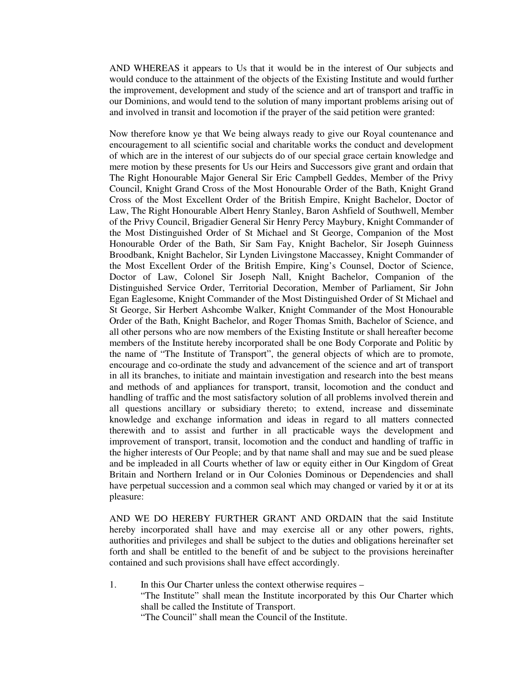AND WHEREAS it appears to Us that it would be in the interest of Our subjects and would conduce to the attainment of the objects of the Existing Institute and would further the improvement, development and study of the science and art of transport and traffic in our Dominions, and would tend to the solution of many important problems arising out of and involved in transit and locomotion if the prayer of the said petition were granted:

Now therefore know ye that We being always ready to give our Royal countenance and encouragement to all scientific social and charitable works the conduct and development of which are in the interest of our subjects do of our special grace certain knowledge and mere motion by these presents for Us our Heirs and Successors give grant and ordain that The Right Honourable Major General Sir Eric Campbell Geddes, Member of the Privy Council, Knight Grand Cross of the Most Honourable Order of the Bath, Knight Grand Cross of the Most Excellent Order of the British Empire, Knight Bachelor, Doctor of Law, The Right Honourable Albert Henry Stanley, Baron Ashfield of Southwell, Member of the Privy Council, Brigadier General Sir Henry Percy Maybury, Knight Commander of the Most Distinguished Order of St Michael and St George, Companion of the Most Honourable Order of the Bath, Sir Sam Fay, Knight Bachelor, Sir Joseph Guinness Broodbank, Knight Bachelor, Sir Lynden Livingstone Maccassey, Knight Commander of the Most Excellent Order of the British Empire, King's Counsel, Doctor of Science, Doctor of Law, Colonel Sir Joseph Nall, Knight Bachelor, Companion of the Distinguished Service Order, Territorial Decoration, Member of Parliament, Sir John Egan Eaglesome, Knight Commander of the Most Distinguished Order of St Michael and St George, Sir Herbert Ashcombe Walker, Knight Commander of the Most Honourable Order of the Bath, Knight Bachelor, and Roger Thomas Smith, Bachelor of Science, and all other persons who are now members of the Existing Institute or shall hereafter become members of the Institute hereby incorporated shall be one Body Corporate and Politic by the name of "The Institute of Transport", the general objects of which are to promote, encourage and co-ordinate the study and advancement of the science and art of transport in all its branches, to initiate and maintain investigation and research into the best means and methods of and appliances for transport, transit, locomotion and the conduct and handling of traffic and the most satisfactory solution of all problems involved therein and all questions ancillary or subsidiary thereto; to extend, increase and disseminate knowledge and exchange information and ideas in regard to all matters connected therewith and to assist and further in all practicable ways the development and improvement of transport, transit, locomotion and the conduct and handling of traffic in the higher interests of Our People; and by that name shall and may sue and be sued please and be impleaded in all Courts whether of law or equity either in Our Kingdom of Great Britain and Northern Ireland or in Our Colonies Dominous or Dependencies and shall have perpetual succession and a common seal which may changed or varied by it or at its pleasure:

AND WE DO HEREBY FURTHER GRANT AND ORDAIN that the said Institute hereby incorporated shall have and may exercise all or any other powers, rights, authorities and privileges and shall be subject to the duties and obligations hereinafter set forth and shall be entitled to the benefit of and be subject to the provisions hereinafter contained and such provisions shall have effect accordingly.

1. In this Our Charter unless the context otherwise requires – "The Institute" shall mean the Institute incorporated by this Our Charter which shall be called the Institute of Transport.

"The Council" shall mean the Council of the Institute.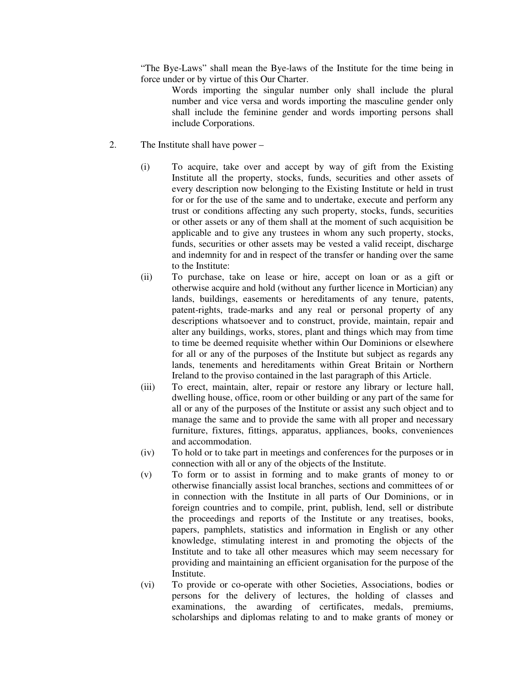"The Bye-Laws" shall mean the Bye-laws of the Institute for the time being in force under or by virtue of this Our Charter.

 Words importing the singular number only shall include the plural number and vice versa and words importing the masculine gender only shall include the feminine gender and words importing persons shall include Corporations.

- 2. The Institute shall have power
	- (i) To acquire, take over and accept by way of gift from the Existing Institute all the property, stocks, funds, securities and other assets of every description now belonging to the Existing Institute or held in trust for or for the use of the same and to undertake, execute and perform any trust or conditions affecting any such property, stocks, funds, securities or other assets or any of them shall at the moment of such acquisition be applicable and to give any trustees in whom any such property, stocks, funds, securities or other assets may be vested a valid receipt, discharge and indemnity for and in respect of the transfer or handing over the same to the Institute:
	- (ii) To purchase, take on lease or hire, accept on loan or as a gift or otherwise acquire and hold (without any further licence in Mortician) any lands, buildings, easements or hereditaments of any tenure, patents, patent-rights, trade-marks and any real or personal property of any descriptions whatsoever and to construct, provide, maintain, repair and alter any buildings, works, stores, plant and things which may from time to time be deemed requisite whether within Our Dominions or elsewhere for all or any of the purposes of the Institute but subject as regards any lands, tenements and hereditaments within Great Britain or Northern Ireland to the proviso contained in the last paragraph of this Article.
	- (iii) To erect, maintain, alter, repair or restore any library or lecture hall, dwelling house, office, room or other building or any part of the same for all or any of the purposes of the Institute or assist any such object and to manage the same and to provide the same with all proper and necessary furniture, fixtures, fittings, apparatus, appliances, books, conveniences and accommodation.
	- (iv) To hold or to take part in meetings and conferences for the purposes or in connection with all or any of the objects of the Institute.
	- (v) To form or to assist in forming and to make grants of money to or otherwise financially assist local branches, sections and committees of or in connection with the Institute in all parts of Our Dominions, or in foreign countries and to compile, print, publish, lend, sell or distribute the proceedings and reports of the Institute or any treatises, books, papers, pamphlets, statistics and information in English or any other knowledge, stimulating interest in and promoting the objects of the Institute and to take all other measures which may seem necessary for providing and maintaining an efficient organisation for the purpose of the Institute.
	- (vi) To provide or co-operate with other Societies, Associations, bodies or persons for the delivery of lectures, the holding of classes and examinations, the awarding of certificates, medals, premiums, scholarships and diplomas relating to and to make grants of money or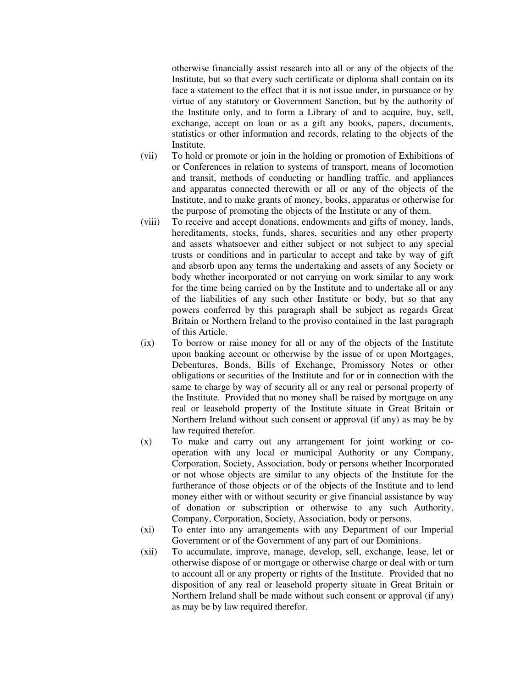otherwise financially assist research into all or any of the objects of the Institute, but so that every such certificate or diploma shall contain on its face a statement to the effect that it is not issue under, in pursuance or by virtue of any statutory or Government Sanction, but by the authority of the Institute only, and to form a Library of and to acquire, buy, sell, exchange, accept on loan or as a gift any books, papers, documents, statistics or other information and records, relating to the objects of the Institute.

- (vii) To hold or promote or join in the holding or promotion of Exhibitions of or Conferences in relation to systems of transport, means of locomotion and transit, methods of conducting or handling traffic, and appliances and apparatus connected therewith or all or any of the objects of the Institute, and to make grants of money, books, apparatus or otherwise for the purpose of promoting the objects of the Institute or any of them.
- (viii) To receive and accept donations, endowments and gifts of money, lands, hereditaments, stocks, funds, shares, securities and any other property and assets whatsoever and either subject or not subject to any special trusts or conditions and in particular to accept and take by way of gift and absorb upon any terms the undertaking and assets of any Society or body whether incorporated or not carrying on work similar to any work for the time being carried on by the Institute and to undertake all or any of the liabilities of any such other Institute or body, but so that any powers conferred by this paragraph shall be subject as regards Great Britain or Northern Ireland to the proviso contained in the last paragraph of this Article.
- (ix) To borrow or raise money for all or any of the objects of the Institute upon banking account or otherwise by the issue of or upon Mortgages, Debentures, Bonds, Bills of Exchange, Promissory Notes or other obligations or securities of the Institute and for or in connection with the same to charge by way of security all or any real or personal property of the Institute. Provided that no money shall be raised by mortgage on any real or leasehold property of the Institute situate in Great Britain or Northern Ireland without such consent or approval (if any) as may be by law required therefor.
- (x) To make and carry out any arrangement for joint working or cooperation with any local or municipal Authority or any Company, Corporation, Society, Association, body or persons whether Incorporated or not whose objects are similar to any objects of the Institute for the furtherance of those objects or of the objects of the Institute and to lend money either with or without security or give financial assistance by way of donation or subscription or otherwise to any such Authority, Company, Corporation, Society, Association, body or persons.
- (xi) To enter into any arrangements with any Department of our Imperial Government or of the Government of any part of our Dominions.
- (xii) To accumulate, improve, manage, develop, sell, exchange, lease, let or otherwise dispose of or mortgage or otherwise charge or deal with or turn to account all or any property or rights of the Institute. Provided that no disposition of any real or leasehold property situate in Great Britain or Northern Ireland shall be made without such consent or approval (if any) as may be by law required therefor.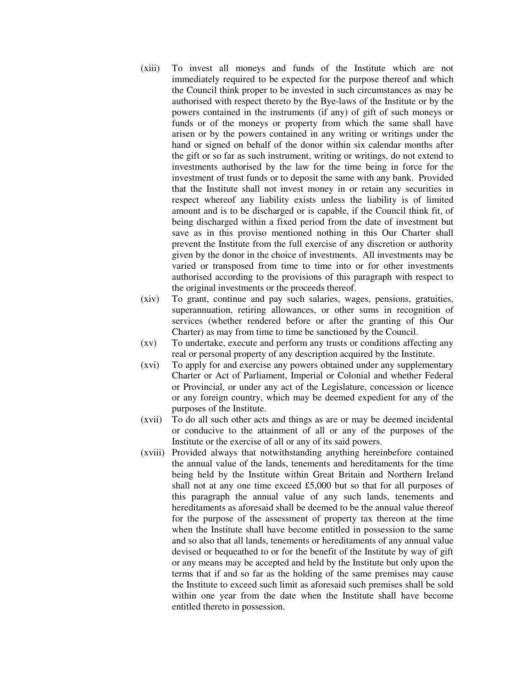- (xiii) To invest all moneys and funds of the Institute which are not immediately required to be expected for the purpose thereof and which the Council think proper to be invested in such circumstances as may be authorised with respect thereto by the Bye-laws of the Institute or by the powers contained in the instruments (if any) of gift of such moneys or funds or of the moneys or property from which the same shall have arisen or by the powers contained in any writing or writings under the hand or signed on behalf of the donor within six calendar months after the gift or so far as such instrument, writing or writings, do not extend to investments authorised by the law for the time being in force for the investment of trust funds or to deposit the same with any bank. Provided that the Institute shall not invest money in or retain any securities in respect whereof any liability exists unless the liability is of limited amount and is to be discharged or is capable, if the Council think fit, of being discharged within a fixed period from the date of investment but save as in this proviso mentioned nothing in this Our Charter shall prevent the Institute from the full exercise of any discretion or authority given by the donor in the choice of investments. All investments may be varied or transposed from time to time into or for other investments authorised according to the provisions of this paragraph with respect to the original investments or the proceeds thereof.
- (xiv) To grant, continue and pay such salaries, wages, pensions, gratuities, superannuation, retiring allowances, or other sums in recognition of services (whether rendered before or after the granting of this Our Charter) as may from time to time be sanctioned by the Council.
- (xv) To undertake, execute and perform any trusts or conditions affecting any real or personal property of any description acquired by the Institute.
- (xvi) To apply for and exercise any powers obtained under any supplementary Charter or Act of Parliament, Imperial or Colonial and whether Federal or Provincial, or under any act of the Legislature, concession or licence or any foreign country, which may be deemed expedient for any of the purposes of the Institute.
- (xvii) To do all such other acts and things as are or may be deemed incidental or conducive to the attainment of all or any of the purposes of the Institute or the exercise of all or any of its said powers.
- (xviii) Provided always that notwithstanding anything hereinbefore contained the annual value of the lands, tenements and hereditaments for the time being held by the Institute within Great Britain and Northern Ireland shall not at any one time exceed £5,000 but so that for all purposes of this paragraph the annual value of any such lands, tenements and hereditaments as aforesaid shall be deemed to be the annual value thereof for the purpose of the assessment of property tax thereon at the time when the Institute shall have become entitled in possession to the same and so also that all lands, tenements or hereditaments of any annual value devised or bequeathed to or for the benefit of the Institute by way of gift or any means may be accepted and held by the Institute but only upon the terms that if and so far as the holding of the same premises may cause the Institute to exceed such limit as aforesaid such premises shall be sold within one year from the date when the Institute shall have become entitled thereto in possession.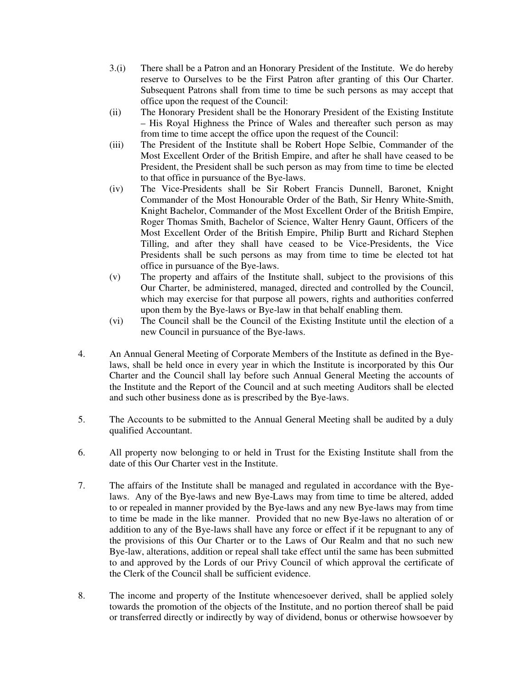- 3.(i) There shall be a Patron and an Honorary President of the Institute. We do hereby reserve to Ourselves to be the First Patron after granting of this Our Charter. Subsequent Patrons shall from time to time be such persons as may accept that office upon the request of the Council:
- (ii) The Honorary President shall be the Honorary President of the Existing Institute – His Royal Highness the Prince of Wales and thereafter such person as may from time to time accept the office upon the request of the Council:
- (iii) The President of the Institute shall be Robert Hope Selbie, Commander of the Most Excellent Order of the British Empire, and after he shall have ceased to be President, the President shall be such person as may from time to time be elected to that office in pursuance of the Bye-laws.
- (iv) The Vice-Presidents shall be Sir Robert Francis Dunnell, Baronet, Knight Commander of the Most Honourable Order of the Bath, Sir Henry White-Smith, Knight Bachelor, Commander of the Most Excellent Order of the British Empire, Roger Thomas Smith, Bachelor of Science, Walter Henry Gaunt, Officers of the Most Excellent Order of the British Empire, Philip Burtt and Richard Stephen Tilling, and after they shall have ceased to be Vice-Presidents, the Vice Presidents shall be such persons as may from time to time be elected tot hat office in pursuance of the Bye-laws.
- (v) The property and affairs of the Institute shall, subject to the provisions of this Our Charter, be administered, managed, directed and controlled by the Council, which may exercise for that purpose all powers, rights and authorities conferred upon them by the Bye-laws or Bye-law in that behalf enabling them.
- (vi) The Council shall be the Council of the Existing Institute until the election of a new Council in pursuance of the Bye-laws.
- 4. An Annual General Meeting of Corporate Members of the Institute as defined in the Byelaws, shall be held once in every year in which the Institute is incorporated by this Our Charter and the Council shall lay before such Annual General Meeting the accounts of the Institute and the Report of the Council and at such meeting Auditors shall be elected and such other business done as is prescribed by the Bye-laws.
- 5. The Accounts to be submitted to the Annual General Meeting shall be audited by a duly qualified Accountant.
- 6. All property now belonging to or held in Trust for the Existing Institute shall from the date of this Our Charter vest in the Institute.
- 7. The affairs of the Institute shall be managed and regulated in accordance with the Byelaws. Any of the Bye-laws and new Bye-Laws may from time to time be altered, added to or repealed in manner provided by the Bye-laws and any new Bye-laws may from time to time be made in the like manner. Provided that no new Bye-laws no alteration of or addition to any of the Bye-laws shall have any force or effect if it be repugnant to any of the provisions of this Our Charter or to the Laws of Our Realm and that no such new Bye-law, alterations, addition or repeal shall take effect until the same has been submitted to and approved by the Lords of our Privy Council of which approval the certificate of the Clerk of the Council shall be sufficient evidence.
- 8. The income and property of the Institute whencesoever derived, shall be applied solely towards the promotion of the objects of the Institute, and no portion thereof shall be paid or transferred directly or indirectly by way of dividend, bonus or otherwise howsoever by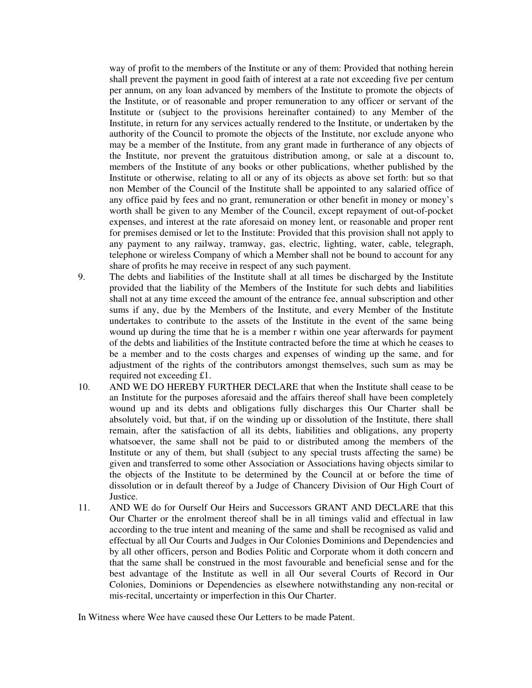way of profit to the members of the Institute or any of them: Provided that nothing herein shall prevent the payment in good faith of interest at a rate not exceeding five per centum per annum, on any loan advanced by members of the Institute to promote the objects of the Institute, or of reasonable and proper remuneration to any officer or servant of the Institute or (subject to the provisions hereinafter contained) to any Member of the Institute, in return for any services actually rendered to the Institute, or undertaken by the authority of the Council to promote the objects of the Institute, nor exclude anyone who may be a member of the Institute, from any grant made in furtherance of any objects of the Institute, nor prevent the gratuitous distribution among, or sale at a discount to, members of the Institute of any books or other publications, whether published by the Institute or otherwise, relating to all or any of its objects as above set forth: but so that non Member of the Council of the Institute shall be appointed to any salaried office of any office paid by fees and no grant, remuneration or other benefit in money or money's worth shall be given to any Member of the Council, except repayment of out-of-pocket expenses, and interest at the rate aforesaid on money lent, or reasonable and proper rent for premises demised or let to the Institute: Provided that this provision shall not apply to any payment to any railway, tramway, gas, electric, lighting, water, cable, telegraph, telephone or wireless Company of which a Member shall not be bound to account for any share of profits he may receive in respect of any such payment.

- 9. The debts and liabilities of the Institute shall at all times be discharged by the Institute provided that the liability of the Members of the Institute for such debts and liabilities shall not at any time exceed the amount of the entrance fee, annual subscription and other sums if any, due by the Members of the Institute, and every Member of the Institute undertakes to contribute to the assets of the Institute in the event of the same being wound up during the time that he is a member r within one year afterwards for payment of the debts and liabilities of the Institute contracted before the time at which he ceases to be a member and to the costs charges and expenses of winding up the same, and for adjustment of the rights of the contributors amongst themselves, such sum as may be required not exceeding £1.
- 10. AND WE DO HEREBY FURTHER DECLARE that when the Institute shall cease to be an Institute for the purposes aforesaid and the affairs thereof shall have been completely wound up and its debts and obligations fully discharges this Our Charter shall be absolutely void, but that, if on the winding up or dissolution of the Institute, there shall remain, after the satisfaction of all its debts, liabilities and obligations, any property whatsoever, the same shall not be paid to or distributed among the members of the Institute or any of them, but shall (subject to any special trusts affecting the same) be given and transferred to some other Association or Associations having objects similar to the objects of the Institute to be determined by the Council at or before the time of dissolution or in default thereof by a Judge of Chancery Division of Our High Court of Justice.
- 11. AND WE do for Ourself Our Heirs and Successors GRANT AND DECLARE that this Our Charter or the enrolment thereof shall be in all timings valid and effectual in law according to the true intent and meaning of the same and shall be recognised as valid and effectual by all Our Courts and Judges in Our Colonies Dominions and Dependencies and by all other officers, person and Bodies Politic and Corporate whom it doth concern and that the same shall be construed in the most favourable and beneficial sense and for the best advantage of the Institute as well in all Our several Courts of Record in Our Colonies, Dominions or Dependencies as elsewhere notwithstanding any non-recital or mis-recital, uncertainty or imperfection in this Our Charter.

In Witness where Wee have caused these Our Letters to be made Patent.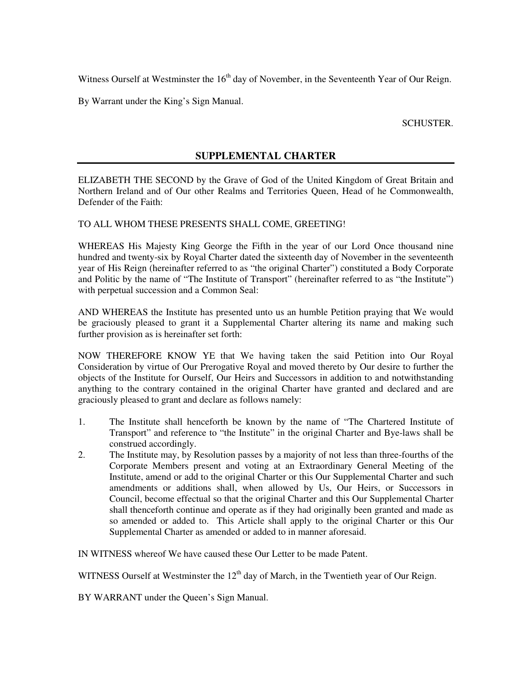Witness Ourself at Westminster the  $16<sup>th</sup>$  day of November, in the Seventeenth Year of Our Reign.

By Warrant under the King's Sign Manual.

SCHUSTER.

### **SUPPLEMENTAL CHARTER**

ELIZABETH THE SECOND by the Grave of God of the United Kingdom of Great Britain and Northern Ireland and of Our other Realms and Territories Queen, Head of he Commonwealth, Defender of the Faith:

#### TO ALL WHOM THESE PRESENTS SHALL COME, GREETING!

WHEREAS His Majesty King George the Fifth in the year of our Lord Once thousand nine hundred and twenty-six by Royal Charter dated the sixteenth day of November in the seventeenth year of His Reign (hereinafter referred to as "the original Charter") constituted a Body Corporate and Politic by the name of "The Institute of Transport" (hereinafter referred to as "the Institute") with perpetual succession and a Common Seal:

AND WHEREAS the Institute has presented unto us an humble Petition praying that We would be graciously pleased to grant it a Supplemental Charter altering its name and making such further provision as is hereinafter set forth:

NOW THEREFORE KNOW YE that We having taken the said Petition into Our Royal Consideration by virtue of Our Prerogative Royal and moved thereto by Our desire to further the objects of the Institute for Ourself, Our Heirs and Successors in addition to and notwithstanding anything to the contrary contained in the original Charter have granted and declared and are graciously pleased to grant and declare as follows namely:

- 1. The Institute shall henceforth be known by the name of "The Chartered Institute of Transport" and reference to "the Institute" in the original Charter and Bye-laws shall be construed accordingly.
- 2. The Institute may, by Resolution passes by a majority of not less than three-fourths of the Corporate Members present and voting at an Extraordinary General Meeting of the Institute, amend or add to the original Charter or this Our Supplemental Charter and such amendments or additions shall, when allowed by Us, Our Heirs, or Successors in Council, become effectual so that the original Charter and this Our Supplemental Charter shall thenceforth continue and operate as if they had originally been granted and made as so amended or added to. This Article shall apply to the original Charter or this Our Supplemental Charter as amended or added to in manner aforesaid.

IN WITNESS whereof We have caused these Our Letter to be made Patent.

WITNESS Ourself at Westminster the  $12<sup>th</sup>$  day of March, in the Twentieth year of Our Reign.

BY WARRANT under the Queen's Sign Manual.